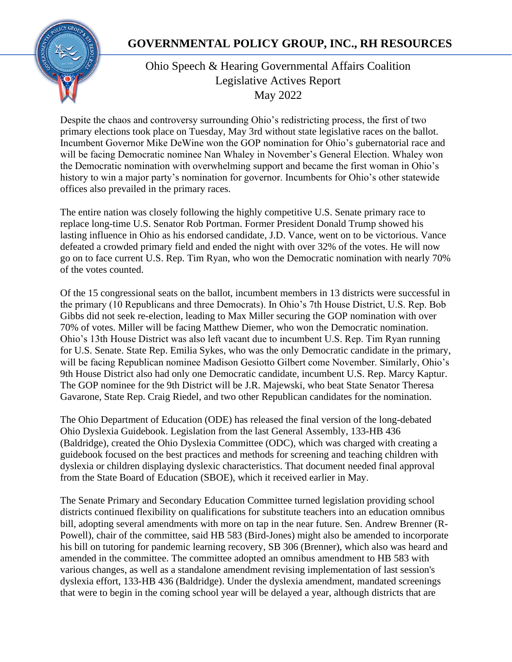# **GOVERNMENTAL POLICY GROUP, INC., RH RESOURCES**



# Ohio Speech & Hearing Governmental Affairs Coalition Legislative Actives Report May 2022

Despite the chaos and controversy surrounding Ohio's redistricting process, the first of two primary elections took place on Tuesday, May 3rd without state legislative races on the ballot. Incumbent Governor Mike DeWine won the GOP nomination for Ohio's gubernatorial race and will be facing Democratic nominee Nan Whaley in November's General Election. Whaley won the Democratic nomination with overwhelming support and became the first woman in Ohio's history to win a major party's nomination for governor. Incumbents for Ohio's other statewide offices also prevailed in the primary races.

The entire nation was closely following the highly competitive U.S. Senate primary race to replace long-time U.S. Senator Rob Portman. Former President Donald Trump showed his lasting influence in Ohio as his endorsed candidate, J.D. Vance, went on to be victorious. Vance defeated a crowded primary field and ended the night with over 32% of the votes. He will now go on to face current U.S. Rep. Tim Ryan, who won the Democratic nomination with nearly 70% of the votes counted.

Of the 15 congressional seats on the ballot, incumbent members in 13 districts were successful in the primary (10 Republicans and three Democrats). In Ohio's 7th House District, U.S. Rep. Bob Gibbs did not seek re-election, leading to Max Miller securing the GOP nomination with over 70% of votes. Miller will be facing Matthew Diemer, who won the Democratic nomination. Ohio's 13th House District was also left vacant due to incumbent U.S. Rep. Tim Ryan running for U.S. Senate. State Rep. Emilia Sykes, who was the only Democratic candidate in the primary, will be facing Republican nominee Madison Gesiotto Gilbert come November. Similarly, Ohio's 9th House District also had only one Democratic candidate, incumbent U.S. Rep. Marcy Kaptur. The GOP nominee for the 9th District will be J.R. Majewski, who beat State Senator Theresa Gavarone, State Rep. Craig Riedel, and two other Republican candidates for the nomination.

The Ohio Department of Education (ODE) has released the final version of the long-debated Ohio Dyslexia Guidebook. Legislation from the last General Assembly, 133-HB 436 (Baldridge), created the Ohio Dyslexia Committee (ODC), which was charged with creating a guidebook focused on the best practices and methods for screening and teaching children with dyslexia or children displaying dyslexic characteristics. That document needed final approval from the State Board of Education (SBOE), which it received earlier in May.

The Senate Primary and Secondary Education Committee turned legislation providing school districts continued flexibility on qualifications for substitute teachers into an education omnibus bill, adopting several amendments with more on tap in the near future. Sen. Andrew Brenner (R-Powell), chair of the committee, said HB 583 (Bird-Jones) might also be amended to incorporate his bill on tutoring for pandemic learning recovery, SB 306 (Brenner), which also was heard and amended in the committee. The committee adopted an omnibus amendment to HB 583 with various changes, as well as a standalone amendment revising implementation of last session's dyslexia effort, 133-HB 436 (Baldridge). Under the dyslexia amendment, mandated screenings that were to begin in the coming school year will be delayed a year, although districts that are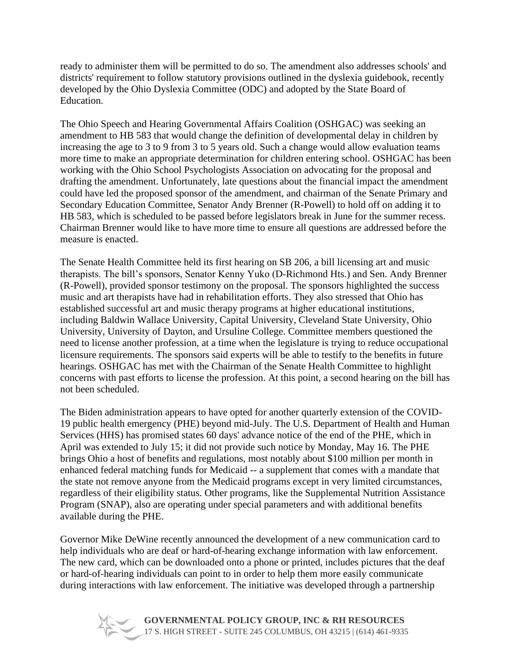ready to administer them will be permitted to do so. The amendment also addresses schools' and districts' requirement to follow statutory provisions outlined in the dyslexia guidebook, recently developed by the Ohio Dyslexia Committee (ODC) and adopted by the State Board of Education.

The Ohio Speech and Hearing Governmental Affairs Coalition (OSHGAC) was seeking an amendment to HB 583 that would change the definition of developmental delay in children by increasing the age to 3 to 9 from 3 to 5 years old. Such a change would allow evaluation teams more time to make an appropriate determination for children entering school. OSHGAC has been working with the Ohio School Psychologists Association on advocating for the proposal and drafting the amendment. Unfortunately, late questions about the financial impact the amendment could have led the proposed sponsor of the amendment, and chairman of the Senate Primary and Secondary Education Committee, Senator Andy Brenner (R-Powell) to hold off on adding it to HB 583, which is scheduled to be passed before legislators break in June for the summer recess. Chairman Brenner would like to have more time to ensure all questions are addressed before the measure is enacted.

The Senate Health Committee held its first hearing on SB 206, a bill licensing art and music therapists. The bill's sponsors, Senator Kenny Yuko (D-Richmond Hts.) and Sen. Andy Brenner (R-Powell), provided sponsor testimony on the proposal. The sponsors highlighted the success music and art therapists have had in rehabilitation efforts. They also stressed that Ohio has established successful art and music therapy programs at higher educational institutions, including Baldwin Wallace University, Capital University, Cleveland State University, Ohio University, University of Dayton, and Ursuline College. Committee members questioned the need to license another profession, at a time when the legislature is trying to reduce occupational licensure requirements. The sponsors said experts will be able to testify to the benefits in future hearings. OSHGAC has met with the Chairman of the Senate Health Committee to highlight concerns with past efforts to license the profession. At this point, a second hearing on the bill has not been scheduled.

The Biden administration appears to have opted for another quarterly extension of the COVID-19 public health emergency (PHE) beyond mid-July. The U.S. Department of Health and Human Services (HHS) has promised states 60 days' advance notice of the end of the PHE, which in April was extended to July 15; it did not provide such notice by Monday, May 16. The PHE brings Ohio a host of benefits and regulations, most notably about \$100 million per month in enhanced federal matching funds for Medicaid -- a supplement that comes with a mandate that the state not remove anyone from the Medicaid programs except in very limited circumstances, regardless of their eligibility status. Other programs, like the Supplemental Nutrition Assistance Program (SNAP), also are operating under special parameters and with additional benefits available during the PHE.

Governor Mike DeWine recently announced the development of a new communication card to help individuals who are deaf or hard-of-hearing exchange information with law enforcement. The new card, which can be downloaded onto a phone or printed, includes pictures that the deaf or hard-of-hearing individuals can point to in order to help them more easily communicate during interactions with law enforcement. The initiative was developed through a partnership

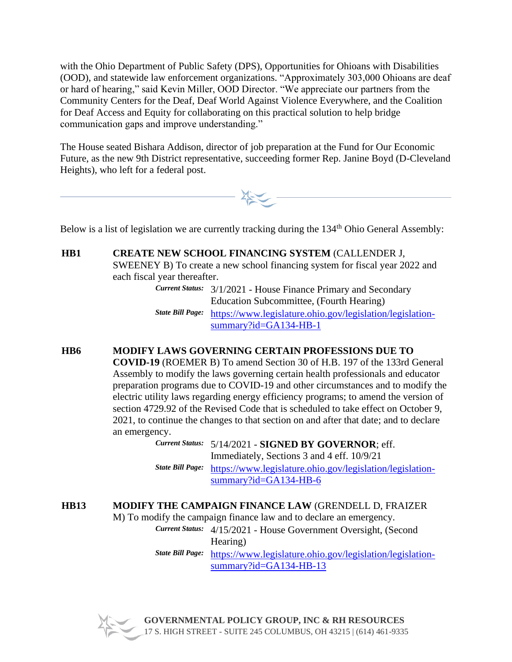with the Ohio Department of Public Safety (DPS), Opportunities for Ohioans with Disabilities (OOD), and statewide law enforcement organizations. "Approximately 303,000 Ohioans are deaf or hard of hearing," said Kevin Miller, OOD Director. "We appreciate our partners from the Community Centers for the Deaf, Deaf World Against Violence Everywhere, and the Coalition for Deaf Access and Equity for collaborating on this practical solution to help bridge communication gaps and improve understanding."

The House seated Bishara Addison, director of job preparation at the Fund for Our Economic Future, as the new 9th District representative, succeeding former Rep. Janine Boyd (D-Cleveland Heights), who left for a federal post.



Below is a list of legislation we are currently tracking during the 134<sup>th</sup> Ohio General Assembly:

**HB1 CREATE NEW SCHOOL FINANCING SYSTEM** (CALLENDER J, SWEENEY B) To create a new school financing system for fiscal year 2022 and each fiscal year thereafter.

*Current Status:* 3/1/2021 - House Finance Primary and Secondary Education Subcommittee, (Fourth Hearing) *State Bill Page:* [https://www.legislature.ohio.gov/legislation/legislation-](https://www.legislature.ohio.gov/legislation/legislation-summary?id=GA134-HB-1)

[summary?id=GA134-HB-1](https://www.legislature.ohio.gov/legislation/legislation-summary?id=GA134-HB-1)

# **HB6 MODIFY LAWS GOVERNING CERTAIN PROFESSIONS DUE TO**

**COVID-19** (ROEMER B) To amend Section 30 of H.B. 197 of the 133rd General Assembly to modify the laws governing certain health professionals and educator preparation programs due to COVID-19 and other circumstances and to modify the electric utility laws regarding energy efficiency programs; to amend the version of section 4729.92 of the Revised Code that is scheduled to take effect on October 9, 2021, to continue the changes to that section on and after that date; and to declare an emergency.

*Current Status:* 5/14/2021 - **SIGNED BY GOVERNOR**; eff. Immediately, Sections 3 and 4 eff. 10/9/21 *State Bill Page:* [https://www.legislature.ohio.gov/legislation/legislation](https://www.legislature.ohio.gov/legislation/legislation-summary?id=GA134-HB-6)[summary?id=GA134-HB-6](https://www.legislature.ohio.gov/legislation/legislation-summary?id=GA134-HB-6)

# **HB13 MODIFY THE CAMPAIGN FINANCE LAW** (GRENDELL D, FRAIZER

M) To modify the campaign finance law and to declare an emergency.

*Current Status:* 4/15/2021 - House Government Oversight, (Second Hearing)

*State Bill Page:* [https://www.legislature.ohio.gov/legislation/legislation](https://www.legislature.ohio.gov/legislation/legislation-summary?id=GA134-HB-13)[summary?id=GA134-HB-13](https://www.legislature.ohio.gov/legislation/legislation-summary?id=GA134-HB-13)

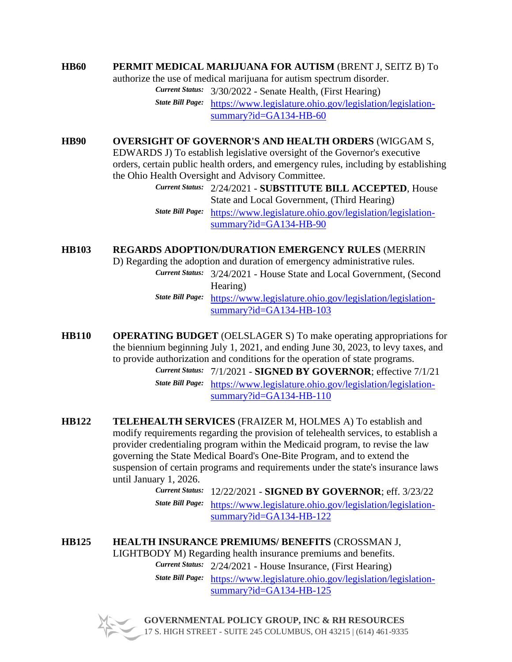### **HB60 PERMIT MEDICAL MARIJUANA FOR AUTISM** (BRENT J, SEITZ B) To

authorize the use of medical marijuana for autism spectrum disorder.

*Current Status:* 3/30/2022 - Senate Health, (First Hearing)

*State Bill Page:* [https://www.legislature.ohio.gov/legislation/legislation](https://www.legislature.ohio.gov/legislation/legislation-summary?id=GA134-HB-60)[summary?id=GA134-HB-60](https://www.legislature.ohio.gov/legislation/legislation-summary?id=GA134-HB-60)

## **HB90 OVERSIGHT OF GOVERNOR'S AND HEALTH ORDERS** (WIGGAM S,

EDWARDS J) To establish legislative oversight of the Governor's executive orders, certain public health orders, and emergency rules, including by establishing the Ohio Health Oversight and Advisory Committee.

> *Current Status:* 2/24/2021 - **SUBSTITUTE BILL ACCEPTED**, House State and Local Government, (Third Hearing) *State Bill Page:* [https://www.legislature.ohio.gov/legislation/legislation](https://www.legislature.ohio.gov/legislation/legislation-summary?id=GA134-HB-90)[summary?id=GA134-HB-90](https://www.legislature.ohio.gov/legislation/legislation-summary?id=GA134-HB-90)

**HB103 REGARDS ADOPTION/DURATION EMERGENCY RULES** (MERRIN

D) Regarding the adoption and duration of emergency administrative rules.

*Current Status:* 3/24/2021 - House State and Local Government, (Second Hearing)

*State Bill Page:* [https://www.legislature.ohio.gov/legislation/legislation](https://www.legislature.ohio.gov/legislation/legislation-summary?id=GA134-HB-103)[summary?id=GA134-HB-103](https://www.legislature.ohio.gov/legislation/legislation-summary?id=GA134-HB-103)

**HB110 OPERATING BUDGET** (OELSLAGER S) To make operating appropriations for the biennium beginning July 1, 2021, and ending June 30, 2023, to levy taxes, and to provide authorization and conditions for the operation of state programs.

*Current Status:* 7/1/2021 - **SIGNED BY GOVERNOR**; effective 7/1/21 *State Bill Page:* [https://www.legislature.ohio.gov/legislation/legislation](https://www.legislature.ohio.gov/legislation/legislation-summary?id=GA134-HB-110)[summary?id=GA134-HB-110](https://www.legislature.ohio.gov/legislation/legislation-summary?id=GA134-HB-110)

**HB122 TELEHEALTH SERVICES** (FRAIZER M, HOLMES A) To establish and modify requirements regarding the provision of telehealth services, to establish a provider credentialing program within the Medicaid program, to revise the law governing the State Medical Board's One-Bite Program, and to extend the suspension of certain programs and requirements under the state's insurance laws until January 1, 2026.

> *Current Status:* 12/22/2021 - **SIGNED BY GOVERNOR**; eff. 3/23/22 *State Bill Page:* [https://www.legislature.ohio.gov/legislation/legislation](https://www.legislature.ohio.gov/legislation/legislation-summary?id=GA134-HB-122)[summary?id=GA134-HB-122](https://www.legislature.ohio.gov/legislation/legislation-summary?id=GA134-HB-122)

**HB125 HEALTH INSURANCE PREMIUMS/ BENEFITS** (CROSSMAN J, LIGHTBODY M) Regarding health insurance premiums and benefits. *Current Status:* 2/24/2021 - House Insurance, (First Hearing)

*State Bill Page:* [https://www.legislature.ohio.gov/legislation/legislation](https://www.legislature.ohio.gov/legislation/legislation-summary?id=GA134-HB-125)[summary?id=GA134-HB-125](https://www.legislature.ohio.gov/legislation/legislation-summary?id=GA134-HB-125)

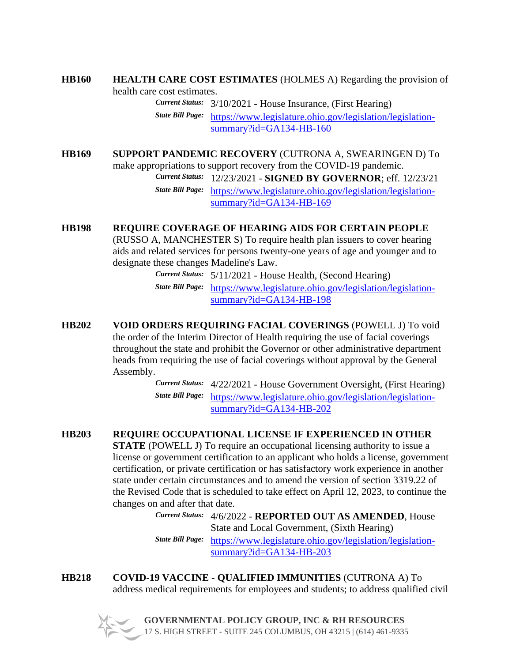#### **HB160 HEALTH CARE COST ESTIMATES** (HOLMES A) Regarding the provision of health care cost estimates.

*Current Status:* 3/10/2021 - House Insurance, (First Hearing) *State Bill Page:* [https://www.legislature.ohio.gov/legislation/legislation](https://www.legislature.ohio.gov/legislation/legislation-summary?id=GA134-HB-160)[summary?id=GA134-HB-160](https://www.legislature.ohio.gov/legislation/legislation-summary?id=GA134-HB-160)

**HB169 SUPPORT PANDEMIC RECOVERY** (CUTRONA A, SWEARINGEN D) To make appropriations to support recovery from the COVID-19 pandemic.

*Current Status:* 12/23/2021 - **SIGNED BY GOVERNOR**; eff. 12/23/21

*State Bill Page:* [https://www.legislature.ohio.gov/legislation/legislation](https://www.legislature.ohio.gov/legislation/legislation-summary?id=GA134-HB-169)[summary?id=GA134-HB-169](https://www.legislature.ohio.gov/legislation/legislation-summary?id=GA134-HB-169)

# **HB198 REQUIRE COVERAGE OF HEARING AIDS FOR CERTAIN PEOPLE**

(RUSSO A, MANCHESTER S) To require health plan issuers to cover hearing aids and related services for persons twenty-one years of age and younger and to designate these changes Madeline's Law.

> *Current Status:* 5/11/2021 - House Health, (Second Hearing) *State Bill Page:* [https://www.legislature.ohio.gov/legislation/legislation](https://www.legislature.ohio.gov/legislation/legislation-summary?id=GA134-HB-198)[summary?id=GA134-HB-198](https://www.legislature.ohio.gov/legislation/legislation-summary?id=GA134-HB-198)

**HB202 VOID ORDERS REQUIRING FACIAL COVERINGS** (POWELL J) To void the order of the Interim Director of Health requiring the use of facial coverings throughout the state and prohibit the Governor or other administrative department heads from requiring the use of facial coverings without approval by the General Assembly.

*Current Status:* 4/22/2021 - House Government Oversight, (First Hearing) *State Bill Page:* [https://www.legislature.ohio.gov/legislation/legislation](https://www.legislature.ohio.gov/legislation/legislation-summary?id=GA134-HB-202)[summary?id=GA134-HB-202](https://www.legislature.ohio.gov/legislation/legislation-summary?id=GA134-HB-202)

# **HB203 REQUIRE OCCUPATIONAL LICENSE IF EXPERIENCED IN OTHER**

**STATE** (POWELL J) To require an occupational licensing authority to issue a license or government certification to an applicant who holds a license, government certification, or private certification or has satisfactory work experience in another state under certain circumstances and to amend the version of section 3319.22 of the Revised Code that is scheduled to take effect on April 12, 2023, to continue the changes on and after that date.

*Current Status:* 4/6/2022 - **REPORTED OUT AS AMENDED**, House State and Local Government, (Sixth Hearing) *State Bill Page:* [https://www.legislature.ohio.gov/legislation/legislation](https://www.legislature.ohio.gov/legislation/legislation-summary?id=GA134-HB-203)[summary?id=GA134-HB-203](https://www.legislature.ohio.gov/legislation/legislation-summary?id=GA134-HB-203)

**HB218 COVID-19 VACCINE - QUALIFIED IMMUNITIES** (CUTRONA A) To address medical requirements for employees and students; to address qualified civil

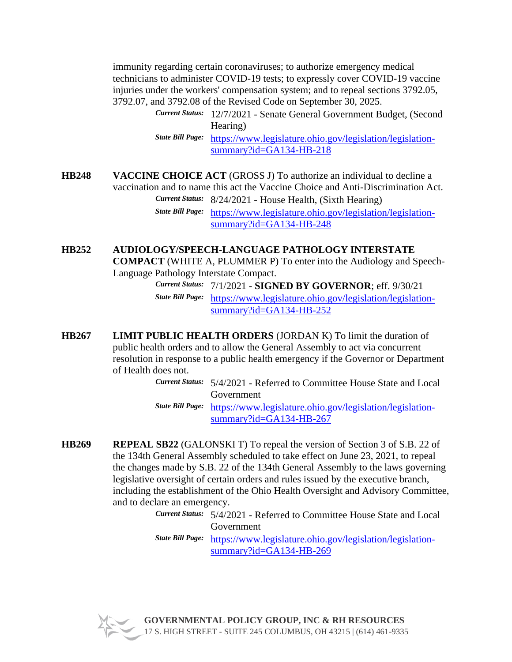immunity regarding certain coronaviruses; to authorize emergency medical technicians to administer COVID-19 tests; to expressly cover COVID-19 vaccine injuries under the workers' compensation system; and to repeal sections 3792.05, 3792.07, and 3792.08 of the Revised Code on September 30, 2025.

> *Current Status:* 12/7/2021 - Senate General Government Budget, (Second Hearing)

*State Bill Page:* [https://www.legislature.ohio.gov/legislation/legislation](https://www.legislature.ohio.gov/legislation/legislation-summary?id=GA134-HB-218)[summary?id=GA134-HB-218](https://www.legislature.ohio.gov/legislation/legislation-summary?id=GA134-HB-218)

**HB248 VACCINE CHOICE ACT** (GROSS J) To authorize an individual to decline a vaccination and to name this act the Vaccine Choice and Anti-Discrimination Act. *Current Status:* 8/24/2021 - House Health, (Sixth Hearing) *State Bill Page:* [https://www.legislature.ohio.gov/legislation/legislation](https://www.legislature.ohio.gov/legislation/legislation-summary?id=GA134-HB-248)[summary?id=GA134-HB-248](https://www.legislature.ohio.gov/legislation/legislation-summary?id=GA134-HB-248)

#### **HB252 AUDIOLOGY/SPEECH-LANGUAGE PATHOLOGY INTERSTATE COMPACT** (WHITE A, PLUMMER P) To enter into the Audiology and Speech-Language Pathology Interstate Compact.

*Current Status:* 7/1/2021 - **SIGNED BY GOVERNOR**; eff. 9/30/21 *State Bill Page:* [https://www.legislature.ohio.gov/legislation/legislation](https://www.legislature.ohio.gov/legislation/legislation-summary?id=GA134-HB-252)[summary?id=GA134-HB-252](https://www.legislature.ohio.gov/legislation/legislation-summary?id=GA134-HB-252)

**HB267 LIMIT PUBLIC HEALTH ORDERS** (JORDAN K) To limit the duration of public health orders and to allow the General Assembly to act via concurrent resolution in response to a public health emergency if the Governor or Department of Health does not.

> *Current Status:* 5/4/2021 - Referred to Committee House State and Local Government

*State Bill Page:* [https://www.legislature.ohio.gov/legislation/legislation](https://www.legislature.ohio.gov/legislation/legislation-summary?id=GA134-HB-267)[summary?id=GA134-HB-267](https://www.legislature.ohio.gov/legislation/legislation-summary?id=GA134-HB-267)

- **HB269 REPEAL SB22** (GALONSKI T) To repeal the version of Section 3 of S.B. 22 of the 134th General Assembly scheduled to take effect on June 23, 2021, to repeal the changes made by S.B. 22 of the 134th General Assembly to the laws governing legislative oversight of certain orders and rules issued by the executive branch, including the establishment of the Ohio Health Oversight and Advisory Committee, and to declare an emergency.
	- *Current Status:* 5/4/2021 Referred to Committee House State and Local Government

*State Bill Page:* [https://www.legislature.ohio.gov/legislation/legislation](https://www.legislature.ohio.gov/legislation/legislation-summary?id=GA134-HB-269)[summary?id=GA134-HB-269](https://www.legislature.ohio.gov/legislation/legislation-summary?id=GA134-HB-269)

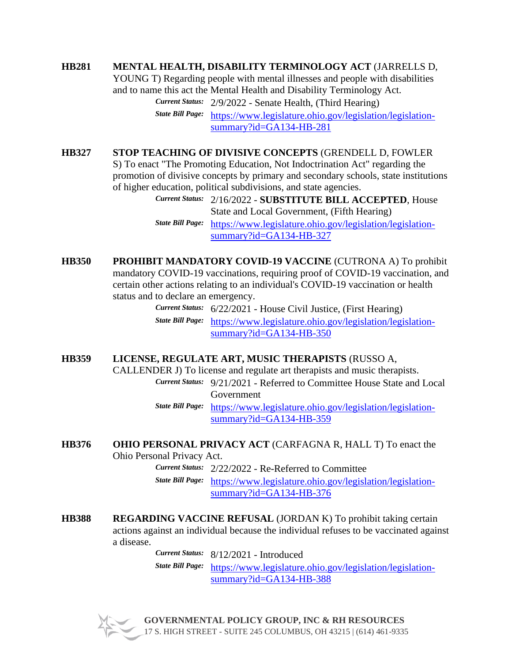## **HB281 MENTAL HEALTH, DISABILITY TERMINOLOGY ACT** (JARRELLS D,

YOUNG T) Regarding people with mental illnesses and people with disabilities and to name this act the Mental Health and Disability Terminology Act. *Current Status:* 2/9/2022 - Senate Health, (Third Hearing)

> *State Bill Page:* [https://www.legislature.ohio.gov/legislation/legislation](https://www.legislature.ohio.gov/legislation/legislation-summary?id=GA134-HB-281)[summary?id=GA134-HB-281](https://www.legislature.ohio.gov/legislation/legislation-summary?id=GA134-HB-281)

**HB327 STOP TEACHING OF DIVISIVE CONCEPTS** (GRENDELL D, FOWLER S) To enact "The Promoting Education, Not Indoctrination Act" regarding the promotion of divisive concepts by primary and secondary schools, state institutions of higher education, political subdivisions, and state agencies.

*Current Status:* 2/16/2022 - **SUBSTITUTE BILL ACCEPTED**, House State and Local Government, (Fifth Hearing) *State Bill Page:* [https://www.legislature.ohio.gov/legislation/legislation](https://www.legislature.ohio.gov/legislation/legislation-summary?id=GA134-HB-327)[summary?id=GA134-HB-327](https://www.legislature.ohio.gov/legislation/legislation-summary?id=GA134-HB-327)

**HB350 PROHIBIT MANDATORY COVID-19 VACCINE** (CUTRONA A) To prohibit mandatory COVID-19 vaccinations, requiring proof of COVID-19 vaccination, and certain other actions relating to an individual's COVID-19 vaccination or health status and to declare an emergency.

*Current Status:* 6/22/2021 - House Civil Justice, (First Hearing) *State Bill Page:* [https://www.legislature.ohio.gov/legislation/legislation](https://www.legislature.ohio.gov/legislation/legislation-summary?id=GA134-HB-350)[summary?id=GA134-HB-350](https://www.legislature.ohio.gov/legislation/legislation-summary?id=GA134-HB-350)

#### **HB359 LICENSE, REGULATE ART, MUSIC THERAPISTS** (RUSSO A,

CALLENDER J) To license and regulate art therapists and music therapists. *Current Status:* 9/21/2021 - Referred to Committee House State and Local

Government

*State Bill Page:* [https://www.legislature.ohio.gov/legislation/legislation](https://www.legislature.ohio.gov/legislation/legislation-summary?id=GA134-HB-359)[summary?id=GA134-HB-359](https://www.legislature.ohio.gov/legislation/legislation-summary?id=GA134-HB-359)

# **HB376 OHIO PERSONAL PRIVACY ACT** (CARFAGNA R, HALL T) To enact the

Ohio Personal Privacy Act.

*Current Status:* 2/22/2022 - Re-Referred to Committee

*State Bill Page:* [https://www.legislature.ohio.gov/legislation/legislation](https://www.legislature.ohio.gov/legislation/legislation-summary?id=GA134-HB-376)[summary?id=GA134-HB-376](https://www.legislature.ohio.gov/legislation/legislation-summary?id=GA134-HB-376)

**HB388 REGARDING VACCINE REFUSAL** (JORDAN K) To prohibit taking certain actions against an individual because the individual refuses to be vaccinated against a disease.

*Current Status:* 8/12/2021 - Introduced

*State Bill Page:* [https://www.legislature.ohio.gov/legislation/legislation](https://www.legislature.ohio.gov/legislation/legislation-summary?id=GA134-HB-388)[summary?id=GA134-HB-388](https://www.legislature.ohio.gov/legislation/legislation-summary?id=GA134-HB-388)

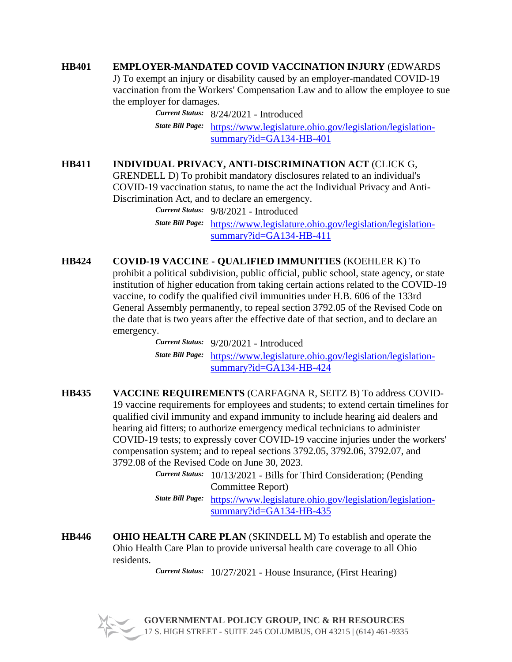#### **HB401 EMPLOYER-MANDATED COVID VACCINATION INJURY** (EDWARDS

J) To exempt an injury or disability caused by an employer-mandated COVID-19 vaccination from the Workers' Compensation Law and to allow the employee to sue the employer for damages.

*Current Status:* 8/24/2021 - Introduced *State Bill Page:* [https://www.legislature.ohio.gov/legislation/legislation](https://www.legislature.ohio.gov/legislation/legislation-summary?id=GA134-HB-401)[summary?id=GA134-HB-401](https://www.legislature.ohio.gov/legislation/legislation-summary?id=GA134-HB-401)

## **HB411 INDIVIDUAL PRIVACY, ANTI-DISCRIMINATION ACT** (CLICK G,

GRENDELL D) To prohibit mandatory disclosures related to an individual's COVID-19 vaccination status, to name the act the Individual Privacy and Anti-Discrimination Act, and to declare an emergency.

> *Current Status:* 9/8/2021 - Introduced *State Bill Page:* [https://www.legislature.ohio.gov/legislation/legislation](https://www.legislature.ohio.gov/legislation/legislation-summary?id=GA134-HB-411)[summary?id=GA134-HB-411](https://www.legislature.ohio.gov/legislation/legislation-summary?id=GA134-HB-411)

#### **HB424 COVID-19 VACCINE - QUALIFIED IMMUNITIES** (KOEHLER K) To

prohibit a political subdivision, public official, public school, state agency, or state institution of higher education from taking certain actions related to the COVID-19 vaccine, to codify the qualified civil immunities under H.B. 606 of the 133rd General Assembly permanently, to repeal section 3792.05 of the Revised Code on the date that is two years after the effective date of that section, and to declare an emergency.

> *Current Status:* 9/20/2021 - Introduced *State Bill Page:* [https://www.legislature.ohio.gov/legislation/legislation](https://www.legislature.ohio.gov/legislation/legislation-summary?id=GA134-HB-424)[summary?id=GA134-HB-424](https://www.legislature.ohio.gov/legislation/legislation-summary?id=GA134-HB-424)

- **HB435 VACCINE REQUIREMENTS** (CARFAGNA R, SEITZ B) To address COVID-19 vaccine requirements for employees and students; to extend certain timelines for qualified civil immunity and expand immunity to include hearing aid dealers and hearing aid fitters; to authorize emergency medical technicians to administer COVID-19 tests; to expressly cover COVID-19 vaccine injuries under the workers' compensation system; and to repeal sections 3792.05, 3792.06, 3792.07, and 3792.08 of the Revised Code on June 30, 2023.
	- *Current Status:* 10/13/2021 Bills for Third Consideration; (Pending Committee Report)

*State Bill Page:* [https://www.legislature.ohio.gov/legislation/legislation](https://www.legislature.ohio.gov/legislation/legislation-summary?id=GA134-HB-435)[summary?id=GA134-HB-435](https://www.legislature.ohio.gov/legislation/legislation-summary?id=GA134-HB-435)

**HB446 OHIO HEALTH CARE PLAN** (SKINDELL M) To establish and operate the Ohio Health Care Plan to provide universal health care coverage to all Ohio residents.

*Current Status:* 10/27/2021 - House Insurance, (First Hearing)

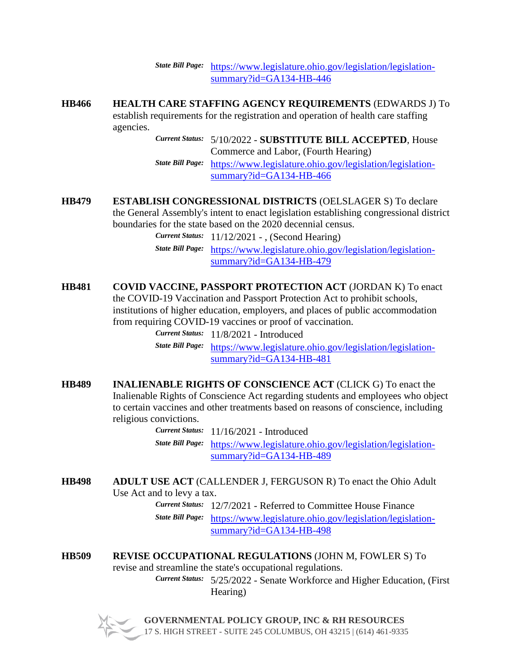*State Bill Page:* [https://www.legislature.ohio.gov/legislation/legislation](https://www.legislature.ohio.gov/legislation/legislation-summary?id=GA134-HB-446)[summary?id=GA134-HB-446](https://www.legislature.ohio.gov/legislation/legislation-summary?id=GA134-HB-446)

**HB466 HEALTH CARE STAFFING AGENCY REQUIREMENTS** (EDWARDS J) To establish requirements for the registration and operation of health care staffing agencies.

> *Current Status:* 5/10/2022 - **SUBSTITUTE BILL ACCEPTED**, House Commerce and Labor, (Fourth Hearing)

*State Bill Page:* [https://www.legislature.ohio.gov/legislation/legislation](https://www.legislature.ohio.gov/legislation/legislation-summary?id=GA134-HB-466)[summary?id=GA134-HB-466](https://www.legislature.ohio.gov/legislation/legislation-summary?id=GA134-HB-466)

**HB479 ESTABLISH CONGRESSIONAL DISTRICTS** (OELSLAGER S) To declare the General Assembly's intent to enact legislation establishing congressional district boundaries for the state based on the 2020 decennial census.

*Current Status:* 11/12/2021 - , (Second Hearing)

*State Bill Page:* [https://www.legislature.ohio.gov/legislation/legislation](https://www.legislature.ohio.gov/legislation/legislation-summary?id=GA134-HB-479)[summary?id=GA134-HB-479](https://www.legislature.ohio.gov/legislation/legislation-summary?id=GA134-HB-479)

**HB481 COVID VACCINE, PASSPORT PROTECTION ACT** (JORDAN K) To enact the COVID-19 Vaccination and Passport Protection Act to prohibit schools, institutions of higher education, employers, and places of public accommodation from requiring COVID-19 vaccines or proof of vaccination.

> *Current Status:* 11/8/2021 - Introduced *State Bill Page:* [https://www.legislature.ohio.gov/legislation/legislation](https://www.legislature.ohio.gov/legislation/legislation-summary?id=GA134-HB-481)[summary?id=GA134-HB-481](https://www.legislature.ohio.gov/legislation/legislation-summary?id=GA134-HB-481)

**HB489 INALIENABLE RIGHTS OF CONSCIENCE ACT** (CLICK G) To enact the Inalienable Rights of Conscience Act regarding students and employees who object to certain vaccines and other treatments based on reasons of conscience, including religious convictions.

> *Current Status:* 11/16/2021 - Introduced *State Bill Page:* [https://www.legislature.ohio.gov/legislation/legislation](https://www.legislature.ohio.gov/legislation/legislation-summary?id=GA134-HB-489)[summary?id=GA134-HB-489](https://www.legislature.ohio.gov/legislation/legislation-summary?id=GA134-HB-489)

**HB498 ADULT USE ACT** (CALLENDER J, FERGUSON R) To enact the Ohio Adult Use Act and to levy a tax.

*Current Status:* 12/7/2021 - Referred to Committee House Finance *State Bill Page:* [https://www.legislature.ohio.gov/legislation/legislation](https://www.legislature.ohio.gov/legislation/legislation-summary?id=GA134-HB-498)[summary?id=GA134-HB-498](https://www.legislature.ohio.gov/legislation/legislation-summary?id=GA134-HB-498)

**HB509 REVISE OCCUPATIONAL REGULATIONS** (JOHN M, FOWLER S) To revise and streamline the state's occupational regulations.

> *Current Status:* 5/25/2022 - Senate Workforce and Higher Education, (First Hearing)

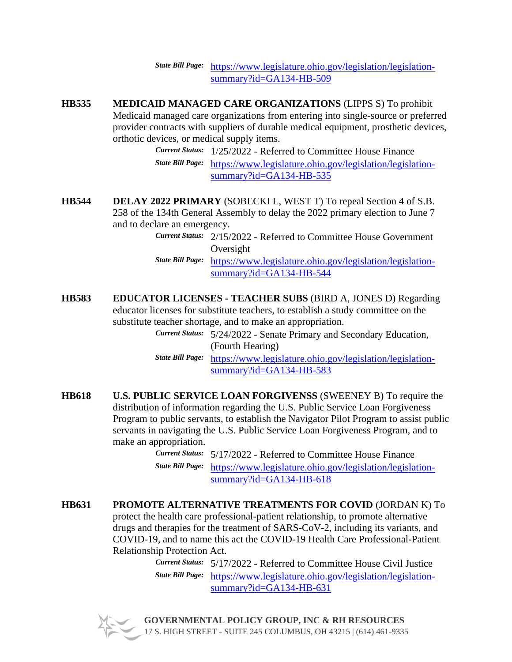*State Bill Page:* [https://www.legislature.ohio.gov/legislation/legislation](https://www.legislature.ohio.gov/legislation/legislation-summary?id=GA134-HB-509)[summary?id=GA134-HB-509](https://www.legislature.ohio.gov/legislation/legislation-summary?id=GA134-HB-509)

**HB535 MEDICAID MANAGED CARE ORGANIZATIONS** (LIPPS S) To prohibit Medicaid managed care organizations from entering into single-source or preferred provider contracts with suppliers of durable medical equipment, prosthetic devices, orthotic devices, or medical supply items.

*Current Status:* 1/25/2022 - Referred to Committee House Finance *State Bill Page:* [https://www.legislature.ohio.gov/legislation/legislation](https://www.legislature.ohio.gov/legislation/legislation-summary?id=GA134-HB-535)[summary?id=GA134-HB-535](https://www.legislature.ohio.gov/legislation/legislation-summary?id=GA134-HB-535)

- **HB544 DELAY 2022 PRIMARY** (SOBECKI L, WEST T) To repeal Section 4 of S.B. 258 of the 134th General Assembly to delay the 2022 primary election to June 7 and to declare an emergency.
	- *Current Status:* 2/15/2022 Referred to Committee House Government Oversight
	- *State Bill Page:* [https://www.legislature.ohio.gov/legislation/legislation](https://www.legislature.ohio.gov/legislation/legislation-summary?id=GA134-HB-544)[summary?id=GA134-HB-544](https://www.legislature.ohio.gov/legislation/legislation-summary?id=GA134-HB-544)
- **HB583 EDUCATOR LICENSES - TEACHER SUBS** (BIRD A, JONES D) Regarding educator licenses for substitute teachers, to establish a study committee on the substitute teacher shortage, and to make an appropriation.

*Current Status:* 5/24/2022 - Senate Primary and Secondary Education, (Fourth Hearing)

*State Bill Page:* [https://www.legislature.ohio.gov/legislation/legislation](https://www.legislature.ohio.gov/legislation/legislation-summary?id=GA134-HB-583)[summary?id=GA134-HB-583](https://www.legislature.ohio.gov/legislation/legislation-summary?id=GA134-HB-583)

**HB618 U.S. PUBLIC SERVICE LOAN FORGIVENSS** (SWEENEY B) To require the distribution of information regarding the U.S. Public Service Loan Forgiveness Program to public servants, to establish the Navigator Pilot Program to assist public servants in navigating the U.S. Public Service Loan Forgiveness Program, and to make an appropriation.

> *Current Status:* 5/17/2022 - Referred to Committee House Finance *State Bill Page:* [https://www.legislature.ohio.gov/legislation/legislation](https://www.legislature.ohio.gov/legislation/legislation-summary?id=GA134-HB-618)[summary?id=GA134-HB-618](https://www.legislature.ohio.gov/legislation/legislation-summary?id=GA134-HB-618)

**HB631 PROMOTE ALTERNATIVE TREATMENTS FOR COVID** (JORDAN K) To protect the health care professional-patient relationship, to promote alternative drugs and therapies for the treatment of SARS-CoV-2, including its variants, and COVID-19, and to name this act the COVID-19 Health Care Professional-Patient Relationship Protection Act.

*Current Status:* 5/17/2022 - Referred to Committee House Civil Justice *State Bill Page:* [https://www.legislature.ohio.gov/legislation/legislation](https://www.legislature.ohio.gov/legislation/legislation-summary?id=GA134-HB-631)[summary?id=GA134-HB-631](https://www.legislature.ohio.gov/legislation/legislation-summary?id=GA134-HB-631)

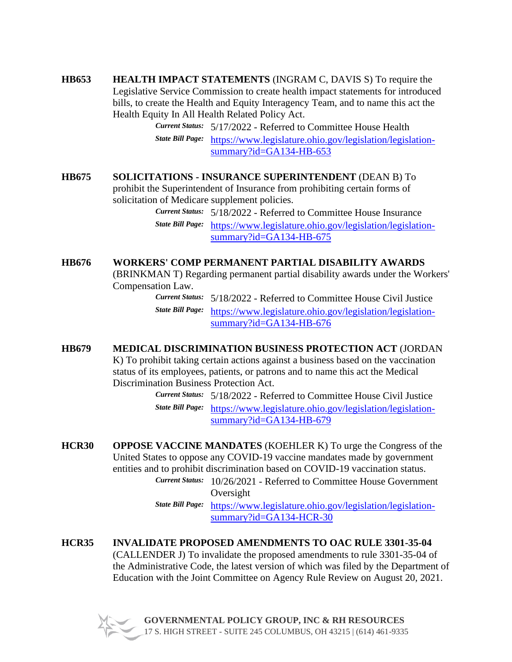**HB653 HEALTH IMPACT STATEMENTS** (INGRAM C, DAVIS S) To require the Legislative Service Commission to create health impact statements for introduced bills, to create the Health and Equity Interagency Team, and to name this act the Health Equity In All Health Related Policy Act.

*Current Status:* 5/17/2022 - Referred to Committee House Health *State Bill Page:* [https://www.legislature.ohio.gov/legislation/legislation](https://www.legislature.ohio.gov/legislation/legislation-summary?id=GA134-HB-653)[summary?id=GA134-HB-653](https://www.legislature.ohio.gov/legislation/legislation-summary?id=GA134-HB-653)

## **HB675 SOLICITATIONS - INSURANCE SUPERINTENDENT** (DEAN B) To prohibit the Superintendent of Insurance from prohibiting certain forms of solicitation of Medicare supplement policies.

*Current Status:* 5/18/2022 - Referred to Committee House Insurance *State Bill Page:* [https://www.legislature.ohio.gov/legislation/legislation](https://www.legislature.ohio.gov/legislation/legislation-summary?id=GA134-HB-675)[summary?id=GA134-HB-675](https://www.legislature.ohio.gov/legislation/legislation-summary?id=GA134-HB-675)

# **HB676 WORKERS' COMP PERMANENT PARTIAL DISABILITY AWARDS**

(BRINKMAN T) Regarding permanent partial disability awards under the Workers' Compensation Law.

> *Current Status:* 5/18/2022 - Referred to Committee House Civil Justice *State Bill Page:* [https://www.legislature.ohio.gov/legislation/legislation](https://www.legislature.ohio.gov/legislation/legislation-summary?id=GA134-HB-676)[summary?id=GA134-HB-676](https://www.legislature.ohio.gov/legislation/legislation-summary?id=GA134-HB-676)

# **HB679 MEDICAL DISCRIMINATION BUSINESS PROTECTION ACT** (JORDAN

K) To prohibit taking certain actions against a business based on the vaccination status of its employees, patients, or patrons and to name this act the Medical Discrimination Business Protection Act.

> *Current Status:* 5/18/2022 - Referred to Committee House Civil Justice *State Bill Page:* [https://www.legislature.ohio.gov/legislation/legislation](https://www.legislature.ohio.gov/legislation/legislation-summary?id=GA134-HB-679)[summary?id=GA134-HB-679](https://www.legislature.ohio.gov/legislation/legislation-summary?id=GA134-HB-679)

**HCR30 OPPOSE VACCINE MANDATES** (KOEHLER K) To urge the Congress of the United States to oppose any COVID-19 vaccine mandates made by government entities and to prohibit discrimination based on COVID-19 vaccination status.

*Current Status:* 10/26/2021 - Referred to Committee House Government Oversight

*State Bill Page:* [https://www.legislature.ohio.gov/legislation/legislation](https://www.legislature.ohio.gov/legislation/legislation-summary?id=GA134-HCR-30)[summary?id=GA134-HCR-30](https://www.legislature.ohio.gov/legislation/legislation-summary?id=GA134-HCR-30)

**HCR35 INVALIDATE PROPOSED AMENDMENTS TO OAC RULE 3301-35-04** (CALLENDER J) To invalidate the proposed amendments to rule 3301-35-04 of the Administrative Code, the latest version of which was filed by the Department of Education with the Joint Committee on Agency Rule Review on August 20, 2021.

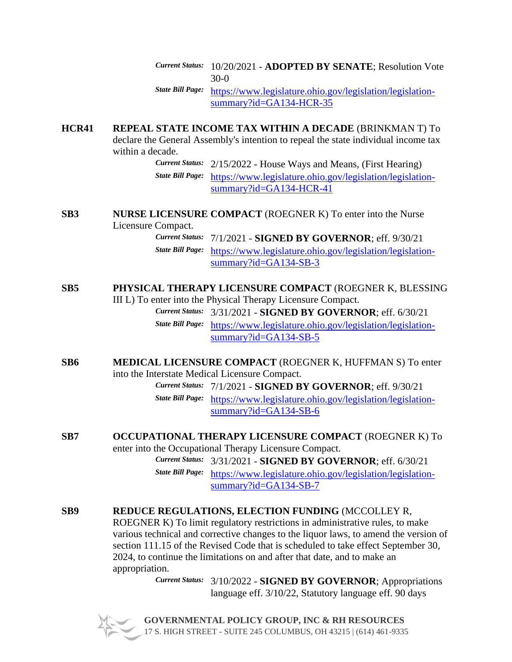*Current Status:* 10/20/2021 - **ADOPTED BY SENATE**; Resolution Vote 30-0

*State Bill Page:* [https://www.legislature.ohio.gov/legislation/legislation](https://www.legislature.ohio.gov/legislation/legislation-summary?id=GA134-HCR-35)[summary?id=GA134-HCR-35](https://www.legislature.ohio.gov/legislation/legislation-summary?id=GA134-HCR-35)

**HCR41 REPEAL STATE INCOME TAX WITHIN A DECADE** (BRINKMAN T) To declare the General Assembly's intention to repeal the state individual income tax within a decade.

*Current Status:* 2/15/2022 - House Ways and Means, (First Hearing) *State Bill Page:* [https://www.legislature.ohio.gov/legislation/legislation](https://www.legislature.ohio.gov/legislation/legislation-summary?id=GA134-HCR-41)[summary?id=GA134-HCR-41](https://www.legislature.ohio.gov/legislation/legislation-summary?id=GA134-HCR-41)

#### **SB3 NURSE LICENSURE COMPACT** (ROEGNER K) To enter into the Nurse Licensure Compact.

*Current Status:* 7/1/2021 - **SIGNED BY GOVERNOR**; eff. 9/30/21 *State Bill Page:* [https://www.legislature.ohio.gov/legislation/legislation](https://www.legislature.ohio.gov/legislation/legislation-summary?id=GA134-SB-3)[summary?id=GA134-SB-3](https://www.legislature.ohio.gov/legislation/legislation-summary?id=GA134-SB-3)

#### **SB5 PHYSICAL THERAPY LICENSURE COMPACT** (ROEGNER K, BLESSING III L) To enter into the Physical Therapy Licensure Compact.

*Current Status:* 3/31/2021 - **SIGNED BY GOVERNOR**; eff. 6/30/21 *State Bill Page:* [https://www.legislature.ohio.gov/legislation/legislation](https://www.legislature.ohio.gov/legislation/legislation-summary?id=GA134-SB-5)[summary?id=GA134-SB-5](https://www.legislature.ohio.gov/legislation/legislation-summary?id=GA134-SB-5)

**SB6 MEDICAL LICENSURE COMPACT** (ROEGNER K, HUFFMAN S) To enter into the Interstate Medical Licensure Compact.

> *Current Status:* 7/1/2021 - **SIGNED BY GOVERNOR**; eff. 9/30/21 *State Bill Page:* [https://www.legislature.ohio.gov/legislation/legislation](https://www.legislature.ohio.gov/legislation/legislation-summary?id=GA134-SB-6)[summary?id=GA134-SB-6](https://www.legislature.ohio.gov/legislation/legislation-summary?id=GA134-SB-6)

#### **SB7 OCCUPATIONAL THERAPY LICENSURE COMPACT** (ROEGNER K) To enter into the Occupational Therapy Licensure Compact.

*Current Status:* 3/31/2021 - **SIGNED BY GOVERNOR**; eff. 6/30/21 *State Bill Page:* [https://www.legislature.ohio.gov/legislation/legislation](https://www.legislature.ohio.gov/legislation/legislation-summary?id=GA134-SB-7)[summary?id=GA134-SB-7](https://www.legislature.ohio.gov/legislation/legislation-summary?id=GA134-SB-7)

# **SB9 REDUCE REGULATIONS, ELECTION FUNDING** (MCCOLLEY R,

ROEGNER K) To limit regulatory restrictions in administrative rules, to make various technical and corrective changes to the liquor laws, to amend the version of section 111.15 of the Revised Code that is scheduled to take effect September 30, 2024, to continue the limitations on and after that date, and to make an appropriation.

> *Current Status:* 3/10/2022 - **SIGNED BY GOVERNOR**; Appropriations language eff. 3/10/22, Statutory language eff. 90 days

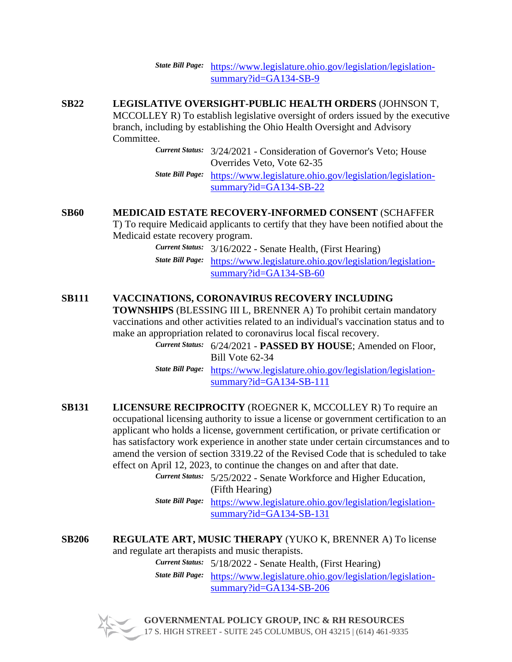*State Bill Page:* [https://www.legislature.ohio.gov/legislation/legislation](https://www.legislature.ohio.gov/legislation/legislation-summary?id=GA134-SB-9)[summary?id=GA134-SB-9](https://www.legislature.ohio.gov/legislation/legislation-summary?id=GA134-SB-9)

**SB22 LEGISLATIVE OVERSIGHT-PUBLIC HEALTH ORDERS** (JOHNSON T, MCCOLLEY R) To establish legislative oversight of orders issued by the executive branch, including by establishing the Ohio Health Oversight and Advisory Committee.

> *Current Status:* 3/24/2021 - Consideration of Governor's Veto; House Overrides Veto, Vote 62-35

*State Bill Page:* [https://www.legislature.ohio.gov/legislation/legislation](https://www.legislature.ohio.gov/legislation/legislation-summary?id=GA134-SB-22)[summary?id=GA134-SB-22](https://www.legislature.ohio.gov/legislation/legislation-summary?id=GA134-SB-22)

# **SB60 MEDICAID ESTATE RECOVERY-INFORMED CONSENT** (SCHAFFER

T) To require Medicaid applicants to certify that they have been notified about the Medicaid estate recovery program.

> *Current Status:* 3/16/2022 - Senate Health, (First Hearing) *State Bill Page:* [https://www.legislature.ohio.gov/legislation/legislation](https://www.legislature.ohio.gov/legislation/legislation-summary?id=GA134-SB-60)[summary?id=GA134-SB-60](https://www.legislature.ohio.gov/legislation/legislation-summary?id=GA134-SB-60)

# **SB111 VACCINATIONS, CORONAVIRUS RECOVERY INCLUDING**

**TOWNSHIPS** (BLESSING III L, BRENNER A) To prohibit certain mandatory vaccinations and other activities related to an individual's vaccination status and to make an appropriation related to coronavirus local fiscal recovery.

> *Current Status:* 6/24/2021 - **PASSED BY HOUSE**; Amended on Floor, Bill Vote 62-34

> *State Bill Page:* [https://www.legislature.ohio.gov/legislation/legislation](https://www.legislature.ohio.gov/legislation/legislation-summary?id=GA134-SB-111)[summary?id=GA134-SB-111](https://www.legislature.ohio.gov/legislation/legislation-summary?id=GA134-SB-111)

**SB131 LICENSURE RECIPROCITY** (ROEGNER K, MCCOLLEY R) To require an occupational licensing authority to issue a license or government certification to an applicant who holds a license, government certification, or private certification or has satisfactory work experience in another state under certain circumstances and to amend the version of section 3319.22 of the Revised Code that is scheduled to take effect on April 12, 2023, to continue the changes on and after that date.

> *Current Status:* 5/25/2022 - Senate Workforce and Higher Education, (Fifth Hearing)

*State Bill Page:* [https://www.legislature.ohio.gov/legislation/legislation](https://www.legislature.ohio.gov/legislation/legislation-summary?id=GA134-SB-131)[summary?id=GA134-SB-131](https://www.legislature.ohio.gov/legislation/legislation-summary?id=GA134-SB-131)

**SB206 REGULATE ART, MUSIC THERAPY** (YUKO K, BRENNER A) To license and regulate art therapists and music therapists.

*Current Status:* 5/18/2022 - Senate Health, (First Hearing)

*State Bill Page:* [https://www.legislature.ohio.gov/legislation/legislation](https://www.legislature.ohio.gov/legislation/legislation-summary?id=GA134-SB-206)[summary?id=GA134-SB-206](https://www.legislature.ohio.gov/legislation/legislation-summary?id=GA134-SB-206)